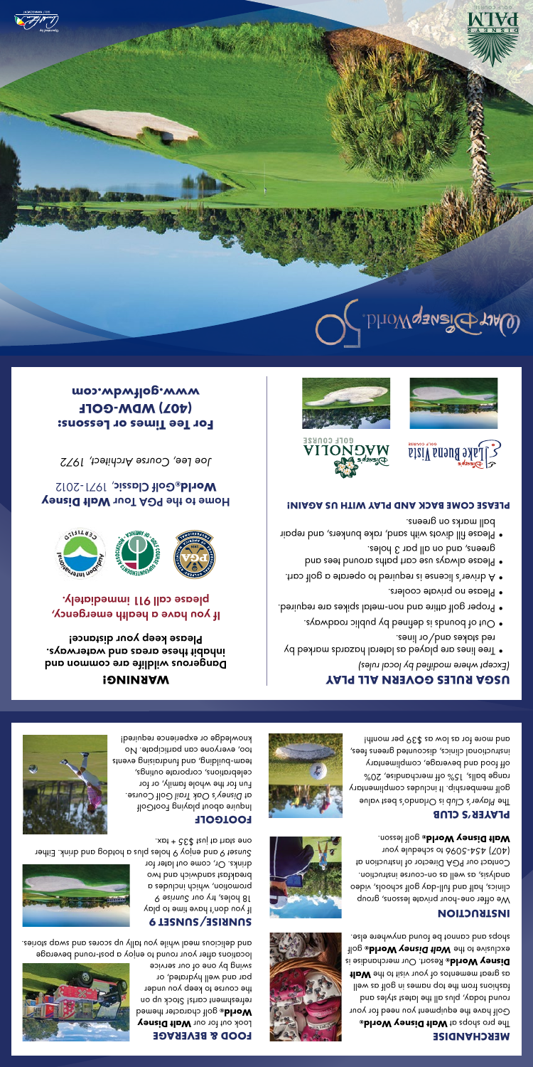## **MERCHANDISE**

**Bire walt Disney World** Golf have the equipment you need for your round today, plus all the latest styles and fashions from the top names in golf as well **HDW** edt ot tiziv nuoy to zotnemem to and zo Resort. Our merchandise is **® Disney World Bilish Cole Walt Disney World**® golf shops and cannot be found anywhere else.

## **INSTRUCTION**

We offer one-hour private lessons, group clinics, half and full-day golf schools, video analysis, as well as on-course instruction. Contact our PGA Director of Instruction at (407) 454-5096 to schedule your golf lesson. **® Walt Disney World**

#### **PLAYER'S CLUB**

The Player's Club is Orlando's best value golf membership. It includes complimentary range balls, 15% off merchandise, 20% off food and beverage, complimentary instructional clinics, discounted greens fees, and more for as low as \$39 per month!







































## **USGA RULES GOVERN ALL PLAY** *(Except where modified by local rules)*

- Tree lines are played as lateral hazards marked by red stakes and/or lines.
- Out of bounds is defined by public roadways. •
- Proper golf attire and non-metal spikes are required. •
- Please no private coolers. •
- A driver's license is required to perate a golf cart.
- Please always use cart paths around tees and greens, and on all par 3 holes.
- Please fill divots with sand, rake bunkers, and repair ball marks on greens.

#### **PLEASE COME BACK AND PLAY WITH US AGAIN!**















drinks. Or, come out later for and enjoy 9 holes plus a hotdog and drink. Either *Sunset 9*

locations after your round to enjoy a post-round beverage and delicious meal while you tally up scores and swap stories.

**WARNING!** Dangerous wildlife are common and inhabit these areas and waterways. Please keep your distance! If you have a health emergency, please call 911 immediately.

**Home to the PGA Tour Walt Disney** , 1971-2012 Golf Classic **® World**

*Joe Lee, Course Architect, 1972*

**For Tee Times or Lessons: (407) WDW-GOLF www.golfwdw.com**

# one start at just \$35 + tax. **FOOTGOLF**

**FOOD & BEVERAGE Look out for our Walt Disney**  golf character themed **® World** refreshment carts! Stock up on the course to keep you under par and well hydrated, or swing by one of our service

**SUNRISE/SUNSET 9**

18 holes, try our Sunrise 9 promotion, which includes a breakfast sandwich and two

Inquire about playing FootGolf Golf Course. *Disney's Oak Trail* at Fun for the whole family, or for celebrations, corporate outings, team-building, and fundraising events too, everyone can participate. No knowledge or experience required!